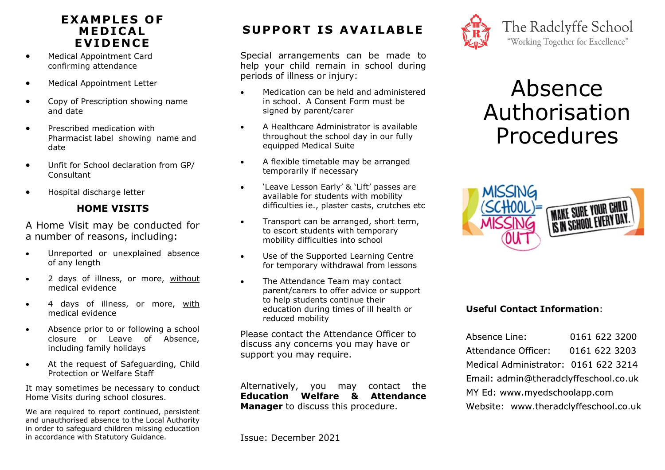## **E X AM P L E S O F ME D I C A L E V I DEN C E**

- Medical Appointment Card confirming attendance
- Medical Appointment Letter
- Copy of Prescription showing name and date
- Prescribed medication with Pharmacist label showing name and date
- Unfit for School declaration from GP/ **Consultant**
- Hospital discharge letter

### **HOME VISITS**

A Home Visit may be conducted for a number of reasons, including:

- Unreported or unexplained absence of any length
- 2 days of illness, or more, without medical evidence
- 4 days of illness, or more, with medical evidence
- Absence prior to or following a school closure or Leave of Absence, including family holidays
- At the request of Safeguarding, Child Protection or Welfare Staff

It may sometimes be necessary to conduct Home Visits during school closures.

We are required to report continued, persistent and unauthorised absence to the Local Authority in order to safeguard children missing education in accordance with Statutory Guidance.

## **SUPPORT IS AVAILABLE**

Special arrangements can be made to help your child remain in school during periods of illness or injury:

- Medication can be held and administered in school. A Consent Form must be signed by parent/carer
- A Healthcare Administrator is available throughout the school day in our fully equipped Medical Suite
- A flexible timetable may be arranged temporarily if necessary
- 'Leave Lesson Early' & 'Lift' passes are available for students with mobility difficulties ie., plaster casts, crutches etc
- Transport can be arranged, short term, to escort students with temporary mobility difficulties into school
- Use of the Supported Learning Centre for temporary withdrawal from lessons
- The Attendance Team may contact parent/carers to offer advice or support to help students continue their education during times of ill health or reduced mobility

Please contact the Attendance Officer to discuss any concerns you may have or support you may require.

Alternatively, you may contact the **Education Welfare & Attendance Manager** to discuss this procedure.



# Absence Authorisation Procedures



#### **Useful Contact Information:**

Absence Line: 0161 622 3200 Attendance Officer: 0161 622 3203 Medical Administrator: 0161 622 3214 Email: admin@theradclyffeschool.co.uk MY Ed: www.myedschoolapp.com Website: www.theradclyffeschool.co.uk